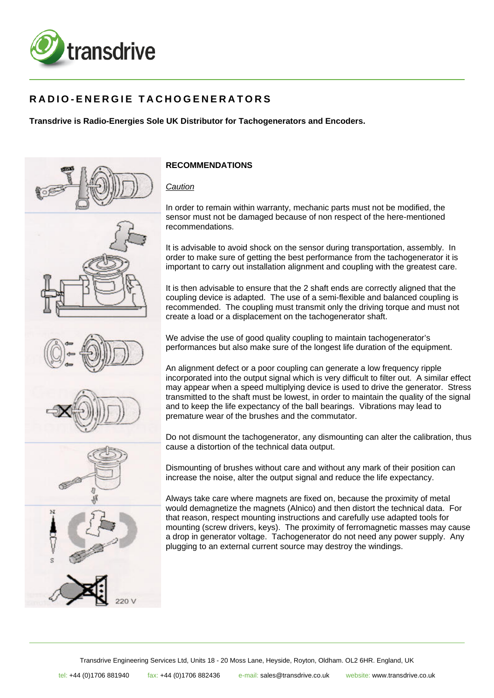

## **RADIO-ENERGIE TACHOGENERATORS**

## **Transdrive is Radio-Energies Sole UK Distributor for Tachogenerators and Encoders.**



## **RECOMMENDATIONS**

*Caution*

In order to remain within warranty, mechanic parts must not be modified, the sensor must not be damaged because of non respect of the here-mentioned recommendations.

It is advisable to avoid shock on the sensor during transportation, assembly. In order to make sure of getting the best performance from the tachogenerator it is important to carry out installation alignment and coupling with the greatest care.

It is then advisable to ensure that the 2 shaft ends are correctly aligned that the coupling device is adapted. The use of a semi-flexible and balanced coupling is recommended. The coupling must transmit only the driving torque and must not create a load or a displacement on the tachogenerator shaft.

We advise the use of good quality coupling to maintain tachogenerator's performances but also make sure of the longest life duration of the equipment.

An alignment defect or a poor coupling can generate a low frequency ripple incorporated into the output signal which is very difficult to filter out. A similar effect may appear when a speed multiplying device is used to drive the generator. Stress transmitted to the shaft must be lowest, in order to maintain the quality of the signal and to keep the life expectancy of the ball bearings. Vibrations may lead to premature wear of the brushes and the commutator.

Do not dismount the tachogenerator, any dismounting can alter the calibration, thus cause a distortion of the technical data output.

Dismounting of brushes without care and without any mark of their position can increase the noise, alter the output signal and reduce the life expectancy.

Always take care where magnets are fixed on, because the proximity of metal would demagnetize the magnets (Alnico) and then distort the technical data. For that reason, respect mounting instructions and carefully use adapted tools for mounting (screw drivers, keys). The proximity of ferromagnetic masses may cause a drop in generator voltage. Tachogenerator do not need any power supply. Any plugging to an external current source may destroy the windings.

Transdrive Engineering Services Ltd, Units 18 - 20 Moss Lane, Heyside, Royton, Oldham. OL2 6HR. England, UK